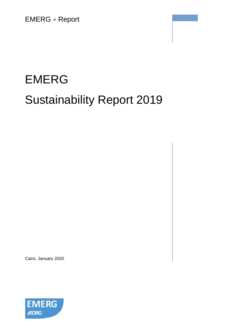EMERG • Report

# EMERG Sustainability Report 2019

Cairo, January 2020

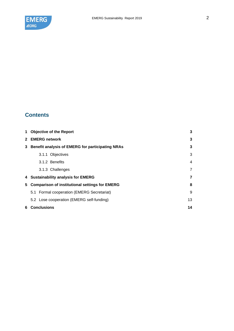

# **Contents**

| $\mathbf 1$ | <b>Objective of the Report</b>                          |    |  |  |
|-------------|---------------------------------------------------------|----|--|--|
|             | 2 EMERG network                                         | 3  |  |  |
| 3           | <b>Benefit analysis of EMERG for participating NRAs</b> |    |  |  |
|             | 3.1.1 Objectives                                        | 3  |  |  |
|             | 3.1.2 Benefits                                          | 4  |  |  |
|             | 3.1.3 Challenges                                        | 7  |  |  |
|             | 4 Sustainability analysis for EMERG                     | 7  |  |  |
| 5.          | <b>Comparison of institutional settings for EMERG</b>   |    |  |  |
|             | 5.1 Formal cooperation (EMERG Secretariat)              | 9  |  |  |
|             | 5.2 Lose cooperation (EMERG self-funding)               | 13 |  |  |
| 6.          | Conclusions                                             | 14 |  |  |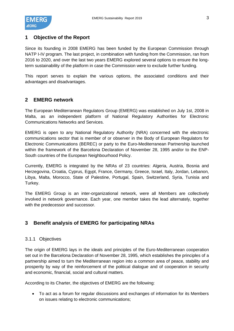

# <span id="page-2-0"></span>**1 Objective of the Report**

Since its founding in 2008 EMERG has been funded by the European Commission through NATP I-IV program. The last project, in combination with funding from the Commission, ran from 2016 to 2020, and over the last two years EMERG explored several options to ensure the longterm sustainability of the platform in case the Commission were to exclude further funding.

This report serves to explain the various options, the associated conditions and their advantages and disadvantages.

# <span id="page-2-1"></span>**2 EMERG network**

The European Mediterranean Regulators Group (EMERG) was established on July 1st, 2008 in Malta, as an independent platform of National Regulatory Authorities for Electronic Communications Networks and Services.

EMERG is open to any National Regulatory Authority (NRA) concerned with the electronic communications sector that is member of or observer in the Body of European Regulators for Electronic Communications (BEREC) or party to the Euro-Mediterranean Partnership launched within the framework of the Barcelona Declaration of November 28, 1995 and/or to the ENP-South countries of the European Neighbourhood Policy.

Currently, EMERG is integrated by the NRAs of 23 countries: Algeria, Austria, Bosnia and Herzegovina, Croatia, Cyprus, Egypt, France, Germany, Greece, Israel, Italy, Jordan, Lebanon, Libya, Malta, Morocco, State of Palestine, Portugal, Spain, Switzerland, Syria, Tunisia and Turkey.

The EMERG Group is an inter-organizational network, were all Members are collectively involved in network governance. Each year, one member takes the lead alternately, together with the predecessor and successor.

# <span id="page-2-2"></span>**3 Benefit analysis of EMERG for participating NRAs**

# <span id="page-2-3"></span>3.1.1 Objectives

The origin of EMERG lays in the ideals and principles of the Euro-Mediterranean cooperation set out in the Barcelona Declaration of November 28, 1995, which establishes the principles of a partnership aimed to turn the Mediterranean region into a common area of peace, stability and prosperity by way of the reinforcement of the political dialogue and of cooperation in security and economic, financial, social and cultural matters.

According to its Charter, the objectives of EMERG are the following:

• To act as a forum for regular discussions and exchanges of information for its Members on issues relating to electronic communications;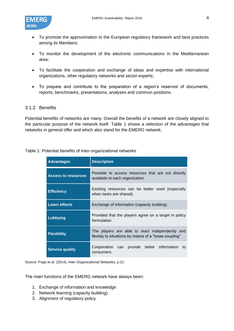

- To promote the approximation to the European regulatory framework and best practices among its Members;
- To monitor the development of the electronic communications in the Mediterranean area;
- To facilitate the cooperation and exchange of ideas and expertise with international organizations, other regulatory networks and sector experts;
- To prepare and contribute to the preparation of a region's reservoir of documents, reports, benchmarks, presentations, analyses and common positions.

### <span id="page-3-0"></span>3.1.2 Benefits

Potential benefits of networks are many. Overall the benefits of a network are closely aligned to the particular purpose of the network itself. Table 1 shows a selection of the advantages that networks in general offer and which also stand for the EMERG network.

| <b>Advantages</b>          | <b>Description</b>                                                                                       |  |  |  |  |
|----------------------------|----------------------------------------------------------------------------------------------------------|--|--|--|--|
| <b>Access to resources</b> | Possible to access resources that are not directly<br>available to each organization.                    |  |  |  |  |
| <b>Efficiency</b>          | Existing resources can be better used (especially<br>when tasks are shared).                             |  |  |  |  |
| <b>Learn effects</b>       | Exchange of information (capacity building)                                                              |  |  |  |  |
| Lobbying                   | Provided that the players agree on a target in policy<br>formulation                                     |  |  |  |  |
| <b>Flexibility</b>         | The players are able to react independently and<br>flexibly to situations by means of a "loose coupling" |  |  |  |  |
| <b>Service quality</b>     | Cooperation can provide better information to<br>consumers.                                              |  |  |  |  |

Source: Popp et al. (2014), Inter-Organizational Networks, p.21.

The main functions of the EMERG network have always been:

- 1. Exchange of information and knowledge
- 2. Network learning (capacity building)
- 3. Alignment of regulatory policy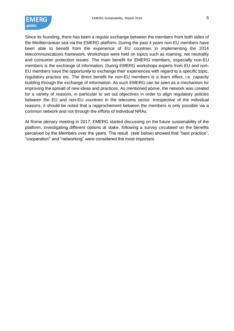

Since its founding, there has been a regular exchange between the members from both sides of the Mediterranean sea via the EMERG platform. During the past 4 years non-EU members have been able to benefit from the experience of EU countries in implementing the 2014 telecommunications framework. Workshops were held on topics such as roaming, net neutrality and consumer protection issues. The main benefit for EMERG members, especially non-EU members is the exchange of information. During EMERG workshops experts from EU and non-EU members have the opportunity to exchange their experiences with regard to a specific topic, regulatory practice etc. The direct benefit for non-EU members is a learn effect, i.e. capacity building through the exchange of information. As such EMERG can be seen as a mechanism for improving the spread of new ideas and practices. As mentioned above, the network was created for a variety of reasons, in particular to set out objectives in order to align regulatory policies between the EU and non-EU countries in the telecoms sector. Irrespective of the individual reasons, it should be noted that a rapprochement between the members is only possible via a common network and not through the efforts of individual NRAs.

At Rome plenary meeting in 2017, EMERG started discussing on the future sustainability of the platform, investigating different options at stake, following a survey circulated on the benefits perceived by the Members over the years. The result (see below) showed that "best practice", "cooperation" and "networking" were considered the most important.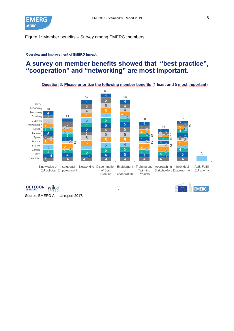

### Figure 1: Member benefits – Survey among EMERG members

#### Overview and improvement of EMERG impact

# A survey on member benefits showed that "best practice", "cooperation" and "networking" are most important.



Source: EMERG Annual report 2017.

DETECON wik

5

**EMERG**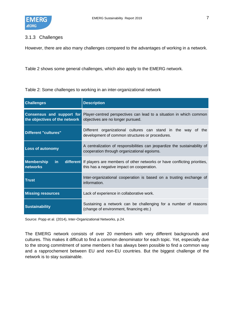

# <span id="page-6-0"></span>3.1.3 Challenges

However, there are also many challenges compared to the advantages of working in a network.

<span id="page-6-1"></span>[Table 2](#page-6-1) shows some general challenges, which also apply to the EMERG network.

Table 2: Some challenges to working in an inter-organizational network

| <b>Challenges</b>                              | <b>Description</b>                                                                                                                        |  |  |  |  |  |
|------------------------------------------------|-------------------------------------------------------------------------------------------------------------------------------------------|--|--|--|--|--|
| the objectives of the network                  | <b>Consensus and support for Player-centred perspectives can lead to a situation in which common</b><br>objectives are no longer pursued. |  |  |  |  |  |
| Different "cultures"                           | Different organizational cultures can stand in the way of the<br>development of common structures or procedures.                          |  |  |  |  |  |
| <b>Loss of autonomy</b>                        | A centralization of responsibilities can jeopardize the sustainability of<br>cooperation through organizational egoisms.                  |  |  |  |  |  |
| <b>Membership</b><br>$\mathsf{in}$<br>networks | different If players are members of other networks or have conflicting priorities,<br>this has a negative impact on cooperation.          |  |  |  |  |  |
| <b>Trust</b>                                   | Inter-organizational cooperation is based on a trusting exchange of<br>information.                                                       |  |  |  |  |  |
| <b>Missing resources</b>                       | Lack of experience in collaborative work.                                                                                                 |  |  |  |  |  |
| <b>Sustainability</b>                          | Sustaining a network can be challenging for a number of reasons<br>(change of environment, financing etc.)                                |  |  |  |  |  |

Source: Popp et al. (2014), Inter-Organizational Networks, p.24.

The EMERG network consists of over 20 members with very different backgrounds and cultures. This makes it difficult to find a common denominator for each topic. Yet, especially due to the strong commitment of some members it has always been possible to find a common way and a rapprochement between EU and non-EU countries. But the biggest challenge of the network is to stay sustainable.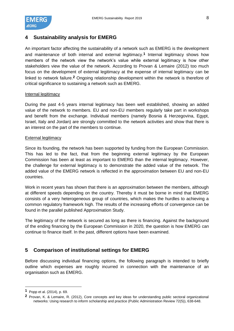

# <span id="page-7-0"></span>**4 Sustainability analysis for EMERG**

An important factor affecting the sustainability of a network such as EMERG is the development and maintenance of both internal and external legitimacy.**1** Internal legitimacy shows how members of the network view the network's value while external legitimacy is how other stakeholders view the value of the network. According to Provan & Lemaire (2012) too much focus on the development of external legitimacy at the expense of internal legitimacy can be linked to network failure.**2** Ongoing relationship development within the network is therefore of critical significance to sustaining a network such as EMERG.

### Internal legitimacy

During the past 4-5 years internal legitimacy has been well established, showing an added value of the network to members. EU and non-EU members regularly take part in workshops and benefit from the exchange. Individual members (namely Bosnia & Herzegovina, Egypt, Israel, Italy and Jordan) are strongly committed to the network activities and show that there is an interest on the part of the members to continue.

### External legitimacy

Since its founding, the network has been supported by funding from the European Commission. This has led to the fact, that from the beginning external legitimacy by the European Commission has been at least as important to EMERG than the internal legitimacy. However, the challenge for external legitimacy is to demonstrate the added value of the network. The added value of the EMERG network is reflected in the approximation between EU and non-EU countries.

Work in recent years has shown that there is an approximation between the members, although at different speeds depending on the country. Thereby it must be borne in mind that EMERG consists of a very heterogeneous group of countries, which makes the hurdles to achieving a common regulatory framework high. The results of the increasing efforts of convergence can be found in the parallel published Approximation Study.

The legitimacy of the network is secured as long as there is financing. Against the background of the ending financing by the European Commission in 2020, the question is how EMERG can continue to finance itself. In the past, different options have been examined.

# <span id="page-7-1"></span>**5 Comparison of institutional settings for EMERG**

Before discussing individual financing options, the following paragraph is intended to briefly outline which expenses are roughly incurred in connection with the maintenance of an organisation such as EMERG.

**<sup>1</sup>** Popp et al. (2014), p. 69.

**<sup>2</sup>** Provan, K. & Lemaire, R. (2012), Core concepts and key ideas for understanding public sectoral organizational networks: Using research to inform scholarship and practice (Public Administration Review 72(5)), 638-648.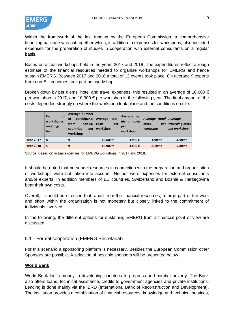

Within the framework of the last funding by the European Commission, a comprehensive financing package was put together which, in addition to expenses for workshops, also included expenses for the preparation of studies in cooperation with external consultants on a regular basis.

Based on actual workshops held in the years 2017 and 2018, the expenditures reflect a rough estimate of the financial resources needed to organise workshops for EMERG and hence sustain EMERG. Between 2017 and 2018 a total of 13 events took place. On average 9 experts from non-EU countries took part per workshop.

Broken down by per diems, hotel and travel expenses, this resulted in an average of 10,600  $\epsilon$ per workshop in 2017, and 10,900 € per workshop in the following year. The final amount of the costs depended strongly on where the workshop took place and the conditions on site.

|                  | <b>of</b><br>No.<br>workshops/<br>meetings<br>held | Average number<br>participants<br>οf<br>non-EU<br>from<br>countries<br>per<br>workshop | total<br>Average<br>costs<br>per<br>workshop | Average per<br>diems<br>costs<br>per<br>workshop | Average Hotel Average<br>costs<br>per<br>workshop | travelling costs<br>per workshop |
|------------------|----------------------------------------------------|----------------------------------------------------------------------------------------|----------------------------------------------|--------------------------------------------------|---------------------------------------------------|----------------------------------|
| <b>Year 2017</b> | 8                                                  | 9                                                                                      | 10.600€                                      | 3.800 €                                          | 1.900€                                            | 4.900€                           |
| <b>Year 2018</b> | 5                                                  | 9                                                                                      | 10.900€                                      | 3.400€                                           | 2.100 €                                           | 5.400 €                          |

Source: Based on actual expenses for EMERG workshops in 2017 and 2018.

It should be noted that personnel resources in connection with the preparation and organisation of workshops were not taken into account. Neither were expenses for external consultants and/or experts. In addition members of EU countries, Switzerland and Bosnia & Herzegovina bear their own costs.

Overall, it should be stressed that, apart from the financial resources, a large part of the work and effort within the organisation is not monetary but closely linked to the commitment of individuals involved.

In the following, the different options for sustaining EMERG from a financial point of view are discussed.

# <span id="page-8-0"></span>5.1 Formal cooperation (EMERG Secretariat)

For this scenario a sponsoring platform is necessary. Besides the European Commission other Sponsors are possible. A selection of possible sponsors will be presented below.

# **World Bank**

World Bank lent's money to developing countries to progress and combat poverty. The Bank also offers loans, technical assistance, credits to government agencies and private institutions. Lending is done mainly via the IBRD (International Bank of Reconstruction and Development). The institution provides a combination of financial resources, knowledge and technical services,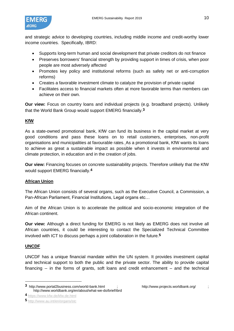

and strategic advice to developing countries, including middle income and credit-worthy lower income countries. Specifically, IBRD:

- Supports long-term human and social development that private creditors do not finance
- Preserves borrowers' financial strength by providing support in times of crisis, when poor people are most adversely affected
- Promotes key policy and institutional reforms (such as safety net or anti-corruption reforms)
- Creates a favorable investment climate to catalyze the provision of private capital
- Facilitates access to financial markets often at more favorable terms than members can achieve on their own.

**Our view:** Focus on country loans and individual projects (e.g. broadband projects). Unlikely that the World Bank Group would support EMERG financially.**3**

# **KfW**

As a state-owned promotional bank, KfW can fund its business in the capital market at very good conditions and pass these loans on to retail customers, enterprises, non-profit organisations and municipalities at favourable rates. As a promotional bank, KfW wants its loans to achieve as great a sustainable impact as possible when it invests in environmental and climate protection, in education and in the creation of jobs.

**Our view:** Financing focuses on concrete sustainability projects. Therefore unlikely that the KfW would support EMERG financially.**4**

# **African Union**

The African Union consists of several organs, such as the Executive Council, a Commission, a Pan-African Parliament, Financial Institutions, Legal organs etc…

Aim of the African Union is to accelerate the political and socio-economic integration of the African continent.

**Our view:** Although a direct funding for EMERG is not likely as EMERG does not involve all African countries, it could be interesting to contact the Specialized Technical Committee involved with ICT to discuss perhaps a joint collaboration in the future.**5**

# **UNCDF**

UNCDF has a unique financial mandate within the UN system. It provides investment capital and technical support to both the public and the private sector. The ability to provide capital financing -- in the forms of grants, soft loans and credit enhancement – and the technical

**<sup>3</sup>** http://www.portal2business.com/world-bank.html ; http://www.projects.worldbank.org/ ; http://www.worldbank.org/en/about/what-we-do/brief/ibrd

**<sup>4</sup>** <https://www.kfw.de/kfw.de.html>

**<sup>5</sup>** <http://www.au.int/en/organs/stc>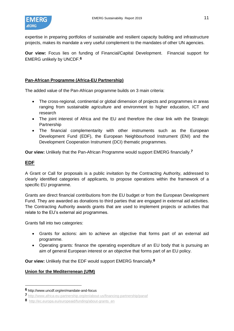

expertise in preparing portfolios of sustainable and resilient capacity building and infrastructure projects, makes its mandate a very useful complement to the mandates of other UN agencies.

**Our view:** Focus lies on funding of Financial/Capital Development. Financial support for EMERG unlikely by UNCDF.**6**

# **Pan-African Programme (Africa-EU Partnership)**

The added value of the Pan-African programme builds on 3 main criteria:

- The cross-regional, continental or global dimension of projects and programmes in areas ranging from sustainable agriculture and environment to higher education, ICT and research
- The joint interest of Africa and the EU and therefore the clear link with the Strategic Partnership
- The financial complementarity with other instruments such as the European Development Fund (EDF), the European Neighbourhood Instrument (ENI) and the Development Cooperation Instrument (DCI) thematic programmes.

**Our view:** Unlikely that the Pan-African Programme would support EMERG financially.**7**

# **EDF**

A Grant or Call for proposals is a public invitation by the Contracting Authority, addressed to clearly identified categories of applicants, to propose operations within the framework of a specific EU programme.

Grants are direct financial contributions from the EU budget or from the European Development Fund. They are awarded as donations to third parties that are engaged in external aid activities. The Contracting Authority awards grants that are used to implement projects or activities that relate to the EU's external aid programmes.

Grants fall into two categories:

- Grants for actions: aim to achieve an objective that forms part of an external aid programme.
- Operating grants: finance the operating expenditure of an EU body that is pursuing an aim of general European interest or an objective that forms part of an EU policy.

**Our view:** Unlikely that the EDF would support EMERG financially.**8**

### **Union for the Mediterrenean (UfM)**

**<sup>6</sup>** http://www.uncdf.org/en/mandate-and-focus

**<sup>7</sup>** <http://www.africa-eu-partnership.org/en/about-us/financing-partnership/panaf>

**<sup>8</sup>** [http://ec.europa.eu/europeaid/funding/about-grants\\_en](http://ec.europa.eu/europeaid/funding/about-grants_en)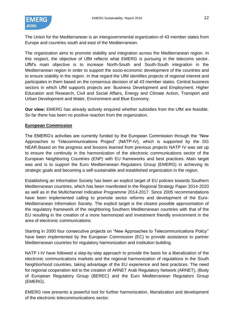

The Union for the Mediterranean is an intergovernmental organization of 43 member states from Europe and countries south and east of the Mediterranean.

The organization aims to promote stability and integration across the Mediterranean region. In this respect, the objective of UfM reflects what EMERG is pursuing in the telecoms sector. UfM's main objective is to increase North-South and South-South integration in the Mediterranean region in order to support the socio-economic development of the countries and to ensure stability in the region. In that regard the UfM identifies projects of regional interest and participates in them based on the consensus decision of all 43 member states. Central business sectors in which UfM supports projects are: Business Development and Employment, Higher Education and Research, Civil and Social Affairs, Energy and Climate Action, Transport and Urban Development and Water, Environment and Blue Economy.

**Our view:** EMERG has already actively enquired whether subsidies from the UfM are feasible. So far there has been no positive reaction from the organization.

### **European Commission**

The EMERG's activities are currently funded by the European Commission through the "New Approaches to Telecommunications Project" (NATP-IV), which is supported by the DG NEAR.Based on the progress and lessons learned from previous projects NATP IV was set up to ensure the continuity in the harmonization of the electronic communications sector of the European Neighboring Countries (ENP) with EU frameworks and best practices. Main target was and is to support the Euro Mediterranean Regulators Group (EMERG) in achieving its strategic goals and becoming a self-sustainable and established organization in the region.

Establishing an Information Society has been an explicit target of EU policies towards Southern Mediterranean countries, which has been manifested in the Regional Strategy Paper 2014-2020 as well as in the Multichannel Indicative Programme 2014-2017. Since 2005 recommendations have been implemented calling to promote sector reforms and development of the Euro-Mediterranean Information Society. The explicit target is the closest possible approximation of the regulatory framework of the neighboring Southern Mediterranean countries with that of the EU resulting in the creation of a more harmonized and investment friendly environment in the area of electronic communications.

Starting in 2000 four consecutive projects on "New Approaches to Telecommunications Policy'' have been implemented by the European Commission (EC) to provide assistance to partner Mediterranean countries for regulatory harmonization and institution building.

NATP I-IV have followed a step-by-step approach to provide the basis for a liberalization of the electronic communications markets and the regional harmonization of regulations in the South Neighborhood countries, taking advantage of the EU experience and best practices. The need for regional cooperation led to the creation of ARNET Arab Regulatory Network (ARNET), (Body of European Regulatory Group (BEREC) and the Euro Mediterranean Regulators Group (EMERG).

EMERG now presents a powerful tool for further harmonization, liberalization and development of the electronic telecommunications sector.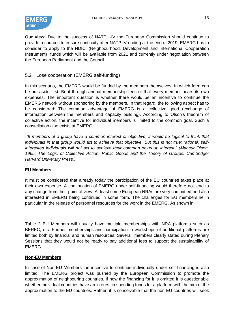

**Our view:** Due to the success of NATP I-IV the European Commission should continue to provide resources to ensure continuity after NATP IV ending at the end of 2019. EMERG has to consider to apply to the NDICI (Neighbourhood, Development and International Cooperation Instrument) funds which will be available from 2021 and currently under negotiation between the European Parliament and the Council.

# <span id="page-12-0"></span>5.2 Lose cooperation (EMERG self-funding)

In this scenario, the EMERG would be funded by the members themselves. In which form can be put aside first. Be it through annual membership fees or that every member bears its own expenses. The important question is whether there would be an incentive to continue the EMERG network without sponsoring by the members. In that regard, the following aspect has to be considered: The common advantage of EMERG is a collective good (exchange of information between the members and capacity building). According to Olson's theorem of collective action, the incentive for individual members is limited to the common goal. Such a constellation also exists at EMERG.

*"If members of a group have a common interest or objective, it would be logical to think that individuals in that group would act to achieve that objective. But this is not true: rational, selfinterested individuals will not act to achieve their common or group interest." (Mancur Olson, 1965, The Logic of Collective Action. Public Goods and the Theory of Groups. Cambridge: Harvard University Press.)*

### **EU Members**

It must be considered that already today the participation of the EU countries takes place at their own expense. A continuation of EMERG under self-financing would therefore not lead to any change from their point of view. At least some European NRAs are very committed and also interested in EMERG being continued in some form. The challenges for EU members lie in particular in the release of personnel resources for the work in the EMERG. As shown in

[Table 2](#page-6-1) EU Members will usually have multiple memberships with NRA platforms such as BEREC, etc. Further memberships and participation in workshops of additional platforms are limited both by financial and human resources. Several members clearly stated during Plenary Sessions that they would not be ready to pay additional fees to support the sustainability of EMERG.

# **Non-EU Members**

In case of Non-EU Members the incentive to continue individually under self-financing is also limited. The EMERG project was pushed by the European Commission to promote the approximation of neighbouring countries. If now the financing for it is omitted it is questionable whether individual countries have an interest in spending funds for a platform with the aim of the approximation to the EU countries. Rather, it is conceivable that the non-EU countries will seek